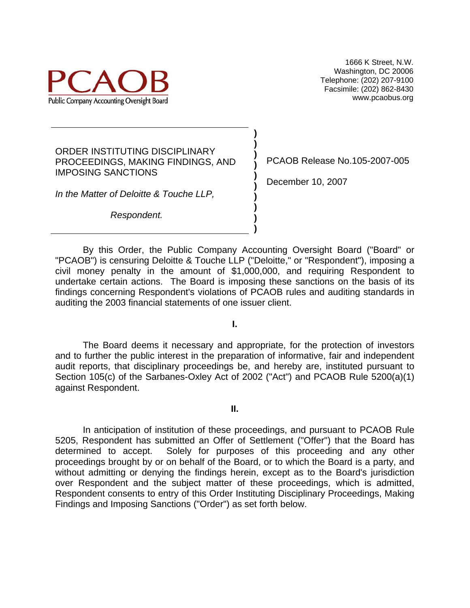

ORDER INSTITUTING DISCIPLINARY PROCEEDINGS, MAKING FINDINGS, AND IMPOSING SANCTIONS

*In the Matter of Deloitte & Touche LLP,* 

*Respondent.*

PCAOB Release No.105-2007-005

December 10, 2007

 By this Order, the Public Company Accounting Oversight Board ("Board" or "PCAOB") is censuring Deloitte & Touche LLP ("Deloitte," or "Respondent"), imposing a civil money penalty in the amount of \$1,000,000, and requiring Respondent to undertake certain actions. The Board is imposing these sanctions on the basis of its findings concerning Respondent's violations of PCAOB rules and auditing standards in auditing the 2003 financial statements of one issuer client.

**) ) ) ) ) ) ) ) ) )** 

**I.** 

The Board deems it necessary and appropriate, for the protection of investors and to further the public interest in the preparation of informative, fair and independent audit reports, that disciplinary proceedings be, and hereby are, instituted pursuant to Section 105(c) of the Sarbanes-Oxley Act of 2002 ("Act") and PCAOB Rule 5200(a)(1) against Respondent.

**II.** 

 In anticipation of institution of these proceedings, and pursuant to PCAOB Rule 5205, Respondent has submitted an Offer of Settlement ("Offer") that the Board has determined to accept. Solely for purposes of this proceeding and any other proceedings brought by or on behalf of the Board, or to which the Board is a party, and without admitting or denying the findings herein, except as to the Board's jurisdiction over Respondent and the subject matter of these proceedings, which is admitted, Respondent consents to entry of this Order Instituting Disciplinary Proceedings, Making Findings and Imposing Sanctions ("Order") as set forth below.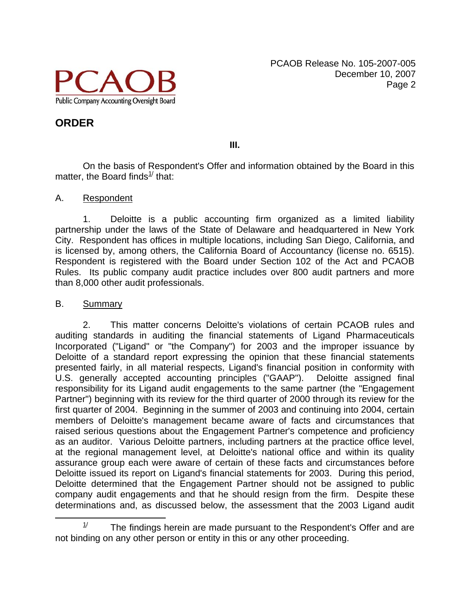

**III.** 

On the basis of Respondent's Offer and information obtained by the Board in this matter, the Board finds $1/$  that:

#### A. Respondent

1. Deloitte is a public accounting firm organized as a limited liability partnership under the laws of the State of Delaware and headquartered in New York City. Respondent has offices in multiple locations, including San Diego, California, and is licensed by, among others, the California Board of Accountancy (license no. 6515). Respondent is registered with the Board under Section 102 of the Act and PCAOB Rules. Its public company audit practice includes over 800 audit partners and more than 8,000 other audit professionals.

#### B. Summary

2. This matter concerns Deloitte's violations of certain PCAOB rules and auditing standards in auditing the financial statements of Ligand Pharmaceuticals Incorporated ("Ligand" or "the Company") for 2003 and the improper issuance by Deloitte of a standard report expressing the opinion that these financial statements presented fairly, in all material respects, Ligand's financial position in conformity with U.S. generally accepted accounting principles ("GAAP"). Deloitte assigned final responsibility for its Ligand audit engagements to the same partner (the "Engagement Partner") beginning with its review for the third quarter of 2000 through its review for the first quarter of 2004. Beginning in the summer of 2003 and continuing into 2004, certain members of Deloitte's management became aware of facts and circumstances that raised serious questions about the Engagement Partner's competence and proficiency as an auditor. Various Deloitte partners, including partners at the practice office level, at the regional management level, at Deloitte's national office and within its quality assurance group each were aware of certain of these facts and circumstances before Deloitte issued its report on Ligand's financial statements for 2003. During this period, Deloitte determined that the Engagement Partner should not be assigned to public company audit engagements and that he should resign from the firm. Despite these determinations and, as discussed below, the assessment that the 2003 Ligand audit

 $\frac{1}{2}$  $1/1$  The findings herein are made pursuant to the Respondent's Offer and are not binding on any other person or entity in this or any other proceeding.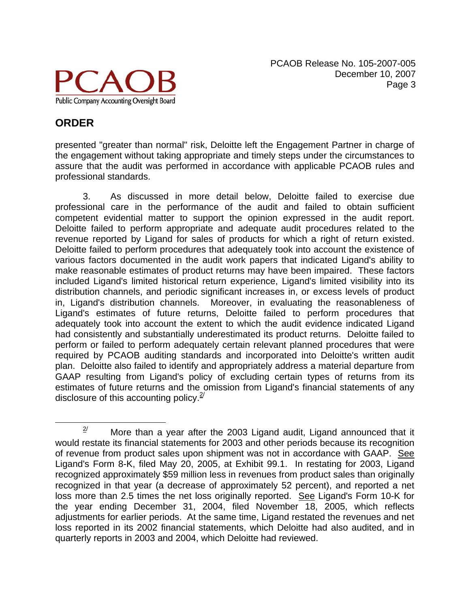

# **ORDER**

presented "greater than normal" risk, Deloitte left the Engagement Partner in charge of the engagement without taking appropriate and timely steps under the circumstances to assure that the audit was performed in accordance with applicable PCAOB rules and professional standards.

3. As discussed in more detail below, Deloitte failed to exercise due professional care in the performance of the audit and failed to obtain sufficient competent evidential matter to support the opinion expressed in the audit report. Deloitte failed to perform appropriate and adequate audit procedures related to the revenue reported by Ligand for sales of products for which a right of return existed. Deloitte failed to perform procedures that adequately took into account the existence of various factors documented in the audit work papers that indicated Ligand's ability to make reasonable estimates of product returns may have been impaired. These factors included Ligand's limited historical return experience, Ligand's limited visibility into its distribution channels, and periodic significant increases in, or excess levels of product in, Ligand's distribution channels. Moreover, in evaluating the reasonableness of Ligand's estimates of future returns, Deloitte failed to perform procedures that adequately took into account the extent to which the audit evidence indicated Ligand had consistently and substantially underestimated its product returns. Deloitte failed to perform or failed to perform adequately certain relevant planned procedures that were required by PCAOB auditing standards and incorporated into Deloitte's written audit plan. Deloitte also failed to identify and appropriately address a material departure from GAAP resulting from Ligand's policy of excluding certain types of returns from its estimates of future returns and the omission from Ligand's financial statements of any disclosure of this accounting policy. $2^{\frac{2}{3}}$ 

 $\frac{2}{2}$  $\frac{2}{3}$  More than a year after the 2003 Ligand audit, Ligand announced that it would restate its financial statements for 2003 and other periods because its recognition of revenue from product sales upon shipment was not in accordance with GAAP. See Ligand's Form 8-K, filed May 20, 2005, at Exhibit 99.1. In restating for 2003, Ligand recognized approximately \$59 million less in revenues from product sales than originally recognized in that year (a decrease of approximately 52 percent), and reported a net loss more than 2.5 times the net loss originally reported. See Ligand's Form 10-K for the year ending December 31, 2004, filed November 18, 2005, which reflects adjustments for earlier periods. At the same time, Ligand restated the revenues and net loss reported in its 2002 financial statements, which Deloitte had also audited, and in quarterly reports in 2003 and 2004, which Deloitte had reviewed.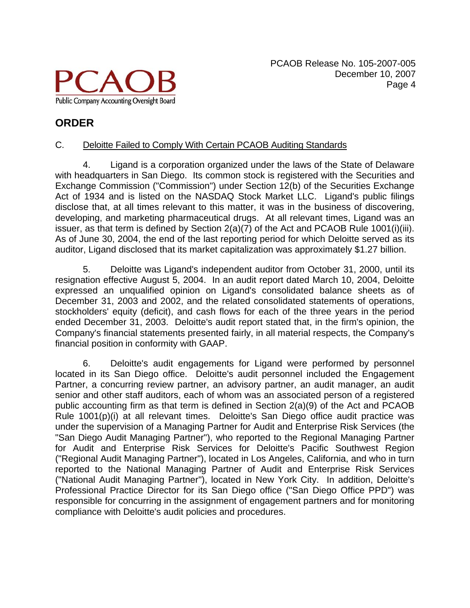

#### C. Deloitte Failed to Comply With Certain PCAOB Auditing Standards

4. Ligand is a corporation organized under the laws of the State of Delaware with headquarters in San Diego. Its common stock is registered with the Securities and Exchange Commission ("Commission") under Section 12(b) of the Securities Exchange Act of 1934 and is listed on the NASDAQ Stock Market LLC. Ligand's public filings disclose that, at all times relevant to this matter, it was in the business of discovering, developing, and marketing pharmaceutical drugs. At all relevant times, Ligand was an issuer, as that term is defined by Section 2(a)(7) of the Act and PCAOB Rule 1001(i)(iii). As of June 30, 2004, the end of the last reporting period for which Deloitte served as its auditor, Ligand disclosed that its market capitalization was approximately \$1.27 billion.

 5. Deloitte was Ligand's independent auditor from October 31, 2000, until its resignation effective August 5, 2004. In an audit report dated March 10, 2004, Deloitte expressed an unqualified opinion on Ligand's consolidated balance sheets as of December 31, 2003 and 2002, and the related consolidated statements of operations, stockholders' equity (deficit), and cash flows for each of the three years in the period ended December 31, 2003. Deloitte's audit report stated that, in the firm's opinion, the Company's financial statements presented fairly, in all material respects, the Company's financial position in conformity with GAAP.

6. Deloitte's audit engagements for Ligand were performed by personnel located in its San Diego office. Deloitte's audit personnel included the Engagement Partner, a concurring review partner, an advisory partner, an audit manager, an audit senior and other staff auditors, each of whom was an associated person of a registered public accounting firm as that term is defined in Section 2(a)(9) of the Act and PCAOB Rule 1001(p)(i) at all relevant times. Deloitte's San Diego office audit practice was under the supervision of a Managing Partner for Audit and Enterprise Risk Services (the "San Diego Audit Managing Partner"), who reported to the Regional Managing Partner for Audit and Enterprise Risk Services for Deloitte's Pacific Southwest Region ("Regional Audit Managing Partner"), located in Los Angeles, California, and who in turn reported to the National Managing Partner of Audit and Enterprise Risk Services ("National Audit Managing Partner"), located in New York City. In addition, Deloitte's Professional Practice Director for its San Diego office ("San Diego Office PPD") was responsible for concurring in the assignment of engagement partners and for monitoring compliance with Deloitte's audit policies and procedures.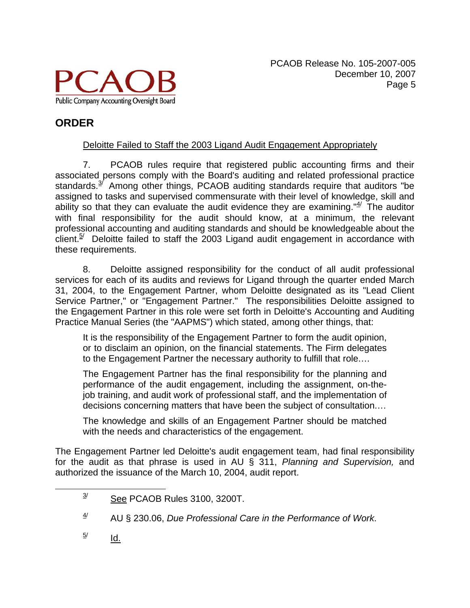

#### Deloitte Failed to Staff the 2003 Ligand Audit Engagement Appropriately

7. PCAOB rules require that registered public accounting firms and their associated persons comply with the Board's auditing and related professional practice standards. $3/2$  Among other things, PCAOB auditing standards require that auditors "be assigned to tasks and supervised commensurate with their level of knowledge, skill and ability so that they can evaluate the audit evidence they are examining." $4/$  The auditor with final responsibility for the audit should know, at a minimum, the relevant professional accounting and auditing standards and should be knowledgeable about the  $\frac{1}{2}$  Deloitte failed to staff the 2003 Ligand audit engagement in accordance with these requirements.

8. Deloitte assigned responsibility for the conduct of all audit professional services for each of its audits and reviews for Ligand through the quarter ended March 31, 2004, to the Engagement Partner, whom Deloitte designated as its "Lead Client Service Partner," or "Engagement Partner." The responsibilities Deloitte assigned to the Engagement Partner in this role were set forth in Deloitte's Accounting and Auditing Practice Manual Series (the "AAPMS") which stated, among other things, that:

It is the responsibility of the Engagement Partner to form the audit opinion, or to disclaim an opinion, on the financial statements. The Firm delegates to the Engagement Partner the necessary authority to fulfill that role.…

The Engagement Partner has the final responsibility for the planning and performance of the audit engagement, including the assignment, on-thejob training, and audit work of professional staff, and the implementation of decisions concerning matters that have been the subject of consultation.…

The knowledge and skills of an Engagement Partner should be matched with the needs and characteristics of the engagement.

The Engagement Partner led Deloitte's audit engagement team, had final responsibility for the audit as that phrase is used in AU § 311, *Planning and Supervision,* and authorized the issuance of the March 10, 2004, audit report.

5/ Id.

 $\frac{3}{}$  $3^{y}$  See PCAOB Rules 3100, 3200T.

<sup>4/</sup> AU § 230.06, *Due Professional Care in the Performance of Work*.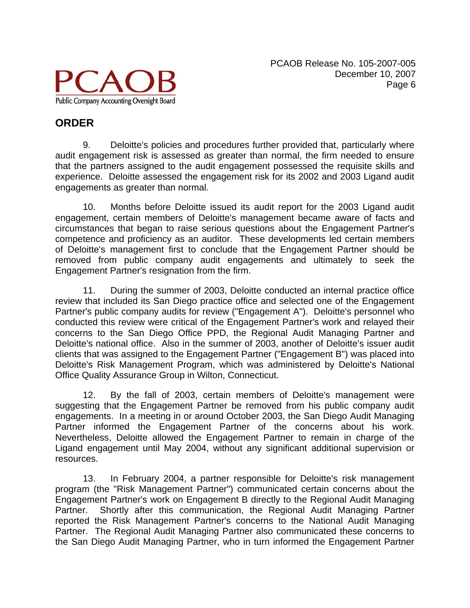

#### **ORDER**

9. Deloitte's policies and procedures further provided that, particularly where audit engagement risk is assessed as greater than normal, the firm needed to ensure that the partners assigned to the audit engagement possessed the requisite skills and experience. Deloitte assessed the engagement risk for its 2002 and 2003 Ligand audit engagements as greater than normal.

10. Months before Deloitte issued its audit report for the 2003 Ligand audit engagement, certain members of Deloitte's management became aware of facts and circumstances that began to raise serious questions about the Engagement Partner's competence and proficiency as an auditor. These developments led certain members of Deloitte's management first to conclude that the Engagement Partner should be removed from public company audit engagements and ultimately to seek the Engagement Partner's resignation from the firm.

11. During the summer of 2003, Deloitte conducted an internal practice office review that included its San Diego practice office and selected one of the Engagement Partner's public company audits for review ("Engagement A"). Deloitte's personnel who conducted this review were critical of the Engagement Partner's work and relayed their concerns to the San Diego Office PPD, the Regional Audit Managing Partner and Deloitte's national office. Also in the summer of 2003, another of Deloitte's issuer audit clients that was assigned to the Engagement Partner ("Engagement B") was placed into Deloitte's Risk Management Program, which was administered by Deloitte's National Office Quality Assurance Group in Wilton, Connecticut.

12. By the fall of 2003, certain members of Deloitte's management were suggesting that the Engagement Partner be removed from his public company audit engagements. In a meeting in or around October 2003, the San Diego Audit Managing Partner informed the Engagement Partner of the concerns about his work. Nevertheless, Deloitte allowed the Engagement Partner to remain in charge of the Ligand engagement until May 2004, without any significant additional supervision or resources.

13. In February 2004, a partner responsible for Deloitte's risk management program (the "Risk Management Partner") communicated certain concerns about the Engagement Partner's work on Engagement B directly to the Regional Audit Managing Partner. Shortly after this communication, the Regional Audit Managing Partner reported the Risk Management Partner's concerns to the National Audit Managing Partner. The Regional Audit Managing Partner also communicated these concerns to the San Diego Audit Managing Partner, who in turn informed the Engagement Partner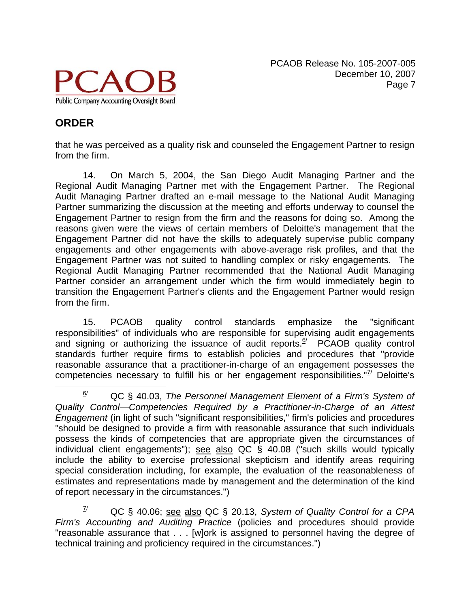

### **ORDER**

that he was perceived as a quality risk and counseled the Engagement Partner to resign from the firm.

14. On March 5, 2004, the San Diego Audit Managing Partner and the Regional Audit Managing Partner met with the Engagement Partner. The Regional Audit Managing Partner drafted an e-mail message to the National Audit Managing Partner summarizing the discussion at the meeting and efforts underway to counsel the Engagement Partner to resign from the firm and the reasons for doing so. Among the reasons given were the views of certain members of Deloitte's management that the Engagement Partner did not have the skills to adequately supervise public company engagements and other engagements with above-average risk profiles, and that the Engagement Partner was not suited to handling complex or risky engagements. The Regional Audit Managing Partner recommended that the National Audit Managing Partner consider an arrangement under which the firm would immediately begin to transition the Engagement Partner's clients and the Engagement Partner would resign from the firm.

15. PCAOB quality control standards emphasize the "significant responsibilities" of individuals who are responsible for supervising audit engagements and signing or authorizing the issuance of audit reports. $\frac{6}{7}$  PCAOB quality control standards further require firms to establish policies and procedures that "provide reasonable assurance that a practitioner-in-charge of an engagement possesses the competencies necessary to fulfill his or her engagement responsibilities." $\frac{7}{2}$  Deloitte's

 $\frac{6}{2}$  QC § 40.03, *The Personnel Management Element of a Firm's System of Quality Control—Competencies Required by a Practitioner-in-Charge of an Attest Engagement* (in light of such "significant responsibilities," firm's policies and procedures "should be designed to provide a firm with reasonable assurance that such individuals possess the kinds of competencies that are appropriate given the circumstances of individual client engagements"); see also QC § 40.08 ("such skills would typically include the ability to exercise professional skepticism and identify areas requiring special consideration including, for example, the evaluation of the reasonableness of estimates and representations made by management and the determination of the kind of report necessary in the circumstances.")

<sup>7/</sup> QC § 40.06; see also QC § 20.13, *System of Quality Control for a CPA Firm's Accounting and Auditing Practice* (policies and procedures should provide "reasonable assurance that . . . [w]ork is assigned to personnel having the degree of technical training and proficiency required in the circumstances.")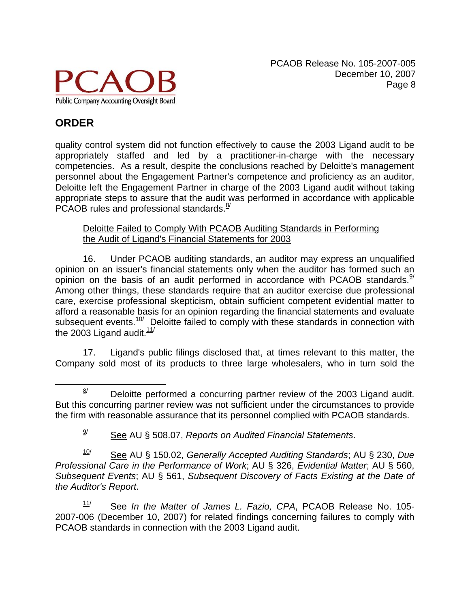

quality control system did not function effectively to cause the 2003 Ligand audit to be appropriately staffed and led by a practitioner-in-charge with the necessary competencies. As a result, despite the conclusions reached by Deloitte's management personnel about the Engagement Partner's competence and proficiency as an auditor, Deloitte left the Engagement Partner in charge of the 2003 Ligand audit without taking appropriate steps to assure that the audit was performed in accordance with applicable PCAOB rules and professional standards. $\frac{8}{1}$ 

Deloitte Failed to Comply With PCAOB Auditing Standards in Performing the Audit of Ligand's Financial Statements for 2003

16. Under PCAOB auditing standards, an auditor may express an unqualified opinion on an issuer's financial statements only when the auditor has formed such an opinion on the basis of an audit performed in accordance with PCAOB standards. $9/$ Among other things, these standards require that an auditor exercise due professional care, exercise professional skepticism, obtain sufficient competent evidential matter to afford a reasonable basis for an opinion regarding the financial statements and evaluate subsequent events. $10$ <sup>/</sup> Deloitte failed to comply with these standards in connection with the 2003 Ligand audit. $11/$ 

 17. Ligand's public filings disclosed that, at times relevant to this matter, the Company sold most of its products to three large wholesalers, who in turn sold the

9/ See AU § 508.07, *Reports on Audited Financial Statements*.

10/ See AU § 150.02, *Generally Accepted Auditing Standards*; AU § 230, *Due Professional Care in the Performance of Work*; AU § 326, *Evidential Matter*; AU § 560, *Subsequent Events*; AU § 561, *Subsequent Discovery of Facts Existing at the Date of the Auditor's Report*.

 11/ See *In the Matter of James L. Fazio, CPA*, PCAOB Release No. 105- 2007-006 (December 10, 2007) for related findings concerning failures to comply with PCAOB standards in connection with the 2003 Ligand audit.

 $\frac{8}{2}$  $\frac{8}{1}$  Deloitte performed a concurring partner review of the 2003 Ligand audit. But this concurring partner review was not sufficient under the circumstances to provide the firm with reasonable assurance that its personnel complied with PCAOB standards.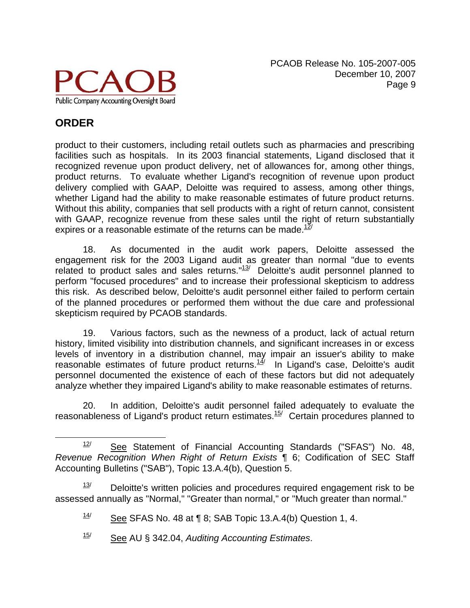

## **ORDER**

product to their customers, including retail outlets such as pharmacies and prescribing facilities such as hospitals. In its 2003 financial statements, Ligand disclosed that it recognized revenue upon product delivery, net of allowances for, among other things, product returns. To evaluate whether Ligand's recognition of revenue upon product delivery complied with GAAP, Deloitte was required to assess, among other things, whether Ligand had the ability to make reasonable estimates of future product returns. Without this ability, companies that sell products with a right of return cannot, consistent with GAAP, recognize revenue from these sales until the right of return substantially expires or a reasonable estimate of the returns can be made. $12$ 

18. As documented in the audit work papers, Deloitte assessed the engagement risk for the 2003 Ligand audit as greater than normal "due to events related to product sales and sales returns." $13/$  Deloitte's audit personnel planned to perform "focused procedures" and to increase their professional skepticism to address this risk. As described below, Deloitte's audit personnel either failed to perform certain of the planned procedures or performed them without the due care and professional skepticism required by PCAOB standards.

19. Various factors, such as the newness of a product, lack of actual return history, limited visibility into distribution channels, and significant increases in or excess levels of inventory in a distribution channel, may impair an issuer's ability to make reasonable estimates of future product returns. $\frac{14}{1}$  In Ligand's case, Deloitte's audit personnel documented the existence of each of these factors but did not adequately analyze whether they impaired Ligand's ability to make reasonable estimates of returns.

20. In addition, Deloitte's audit personnel failed adequately to evaluate the reasonableness of Ligand's product return estimates.<sup>15/</sup> Certain procedures planned to

13/ Deloitte's written policies and procedures required engagement risk to be assessed annually as "Normal," "Greater than normal," or "Much greater than normal."

12/ See Statement of Financial Accounting Standards ("SFAS") No. 48, *Revenue Recognition When Right of Return Exists* ¶ 6; Codification of SEC Staff Accounting Bulletins ("SAB"), Topic 13.A.4(b), Question 5.

<sup>14/</sup> See SFAS No. 48 at **[8**; SAB Topic 13.A.4(b) Question 1, 4.

<sup>15/</sup> See AU § 342.04, *Auditing Accounting Estimates*.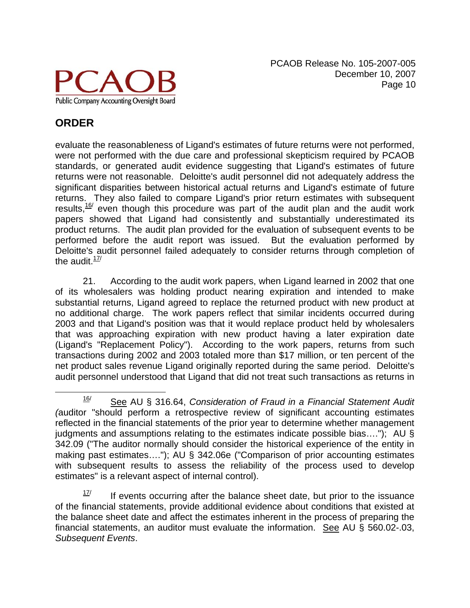

# **ORDER**

evaluate the reasonableness of Ligand's estimates of future returns were not performed, were not performed with the due care and professional skepticism required by PCAOB standards, or generated audit evidence suggesting that Ligand's estimates of future returns were not reasonable. Deloitte's audit personnel did not adequately address the significant disparities between historical actual returns and Ligand's estimate of future returns. They also failed to compare Ligand's prior return estimates with subsequent results, $16$  even though this procedure was part of the audit plan and the audit work papers showed that Ligand had consistently and substantially underestimated its product returns. The audit plan provided for the evaluation of subsequent events to be performed before the audit report was issued. But the evaluation performed by Deloitte's audit personnel failed adequately to consider returns through completion of the audit. $17/$ 

21. According to the audit work papers, when Ligand learned in 2002 that one of its wholesalers was holding product nearing expiration and intended to make substantial returns, Ligand agreed to replace the returned product with new product at no additional charge. The work papers reflect that similar incidents occurred during 2003 and that Ligand's position was that it would replace product held by wholesalers that was approaching expiration with new product having a later expiration date (Ligand's "Replacement Policy"). According to the work papers, returns from such transactions during 2002 and 2003 totaled more than \$17 million, or ten percent of the net product sales revenue Ligand originally reported during the same period. Deloitte's audit personnel understood that Ligand that did not treat such transactions as returns in

16/ See AU § 316.64, *Consideration of Fraud in a Financial Statement Audit (*auditor "should perform a retrospective review of significant accounting estimates reflected in the financial statements of the prior year to determine whether management judgments and assumptions relating to the estimates indicate possible bias…."); AU § 342.09 ("The auditor normally should consider the historical experience of the entity in making past estimates…."); AU § 342.06e ("Comparison of prior accounting estimates with subsequent results to assess the reliability of the process used to develop estimates" is a relevant aspect of internal control).

<sup>17/</sup> If events occurring after the balance sheet date, but prior to the issuance of the financial statements, provide additional evidence about conditions that existed at the balance sheet date and affect the estimates inherent in the process of preparing the financial statements, an auditor must evaluate the information. See AU  $\S$  560.02-.03, *Subsequent Events*.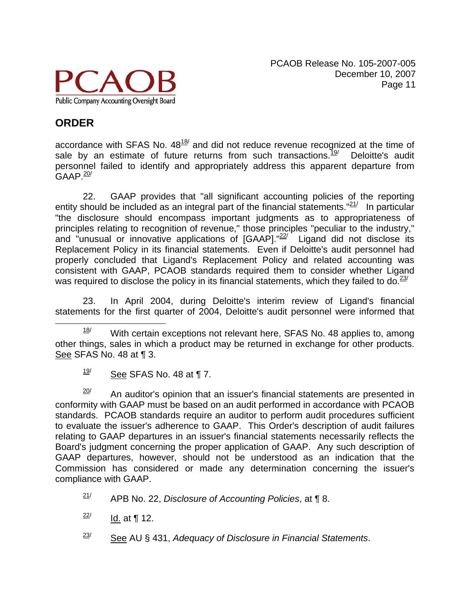

# **ORDER**

accordance with SFAS No.  $48^{18/2}$  and did not reduce revenue recognized at the time of sale by an estimate of future returns from such transactions.<sup>19/</sup> Deloitte's audit personnel failed to identify and appropriately address this apparent departure from  $GAAP<sup>20</sup>$ 

22. GAAP provides that "all significant accounting policies of the reporting entity should be included as an integral part of the financial statements. $"21'$  In particular "the disclosure should encompass important judgments as to appropriateness of principles relating to recognition of revenue," those principles "peculiar to the industry," and "unusual or innovative applications of  $[GAAP]$ ." $^{22/7}$  Ligand did not disclose its Replacement Policy in its financial statements. Even if Deloitte's audit personnel had properly concluded that Ligand's Replacement Policy and related accounting was consistent with GAAP, PCAOB standards required them to consider whether Ligand was required to disclose the policy in its financial statements, which they failed to do. $^{23/}$ 

23. In April 2004, during Deloitte's interim review of Ligand's financial statements for the first quarter of 2004, Deloitte's audit personnel were informed that

20/ An auditor's opinion that an issuer's financial statements are presented in conformity with GAAP must be based on an audit performed in accordance with PCAOB standards. PCAOB standards require an auditor to perform audit procedures sufficient to evaluate the issuer's adherence to GAAP. This Order's description of audit failures relating to GAAP departures in an issuer's financial statements necessarily reflects the Board's judgment concerning the proper application of GAAP. Any such description of GAAP departures, however, should not be understood as an indication that the Commission has considered or made any determination concerning the issuer's compliance with GAAP.

 $21/$ APB No. 22, *Disclosure of Accounting Policies*, at ¶ 8.

- 22/ Id. at ¶ 12.
- 23/ See AU § 431, *Adequacy of Disclosure in Financial Statements*.

18/ With certain exceptions not relevant here, SFAS No. 48 applies to, among other things, sales in which a product may be returned in exchange for other products. See SFAS No. 48 at ¶ 3.

<sup>19/</sup> See SFAS No. 48 at ¶ 7.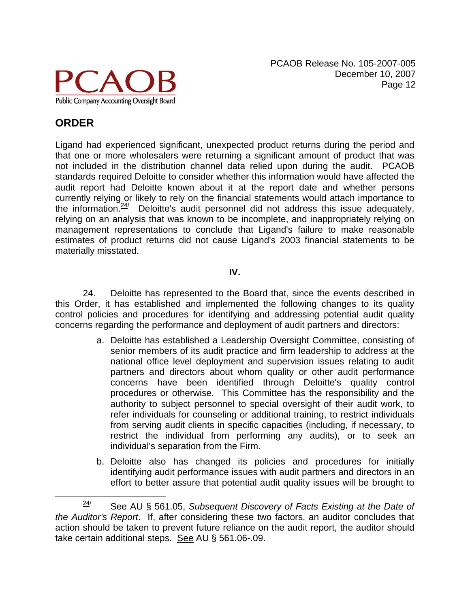

## **ORDER**

Ligand had experienced significant, unexpected product returns during the period and that one or more wholesalers were returning a significant amount of product that was not included in the distribution channel data relied upon during the audit. PCAOB standards required Deloitte to consider whether this information would have affected the audit report had Deloitte known about it at the report date and whether persons currently relying or likely to rely on the financial statements would attach importance to the information.<sup>24/</sup> Deloitte's audit personnel did not address this issue adequately, relying on an analysis that was known to be incomplete, and inappropriately relying on management representations to conclude that Ligand's failure to make reasonable estimates of product returns did not cause Ligand's 2003 financial statements to be materially misstated.

#### **IV.**

 24. Deloitte has represented to the Board that, since the events described in this Order, it has established and implemented the following changes to its quality control policies and procedures for identifying and addressing potential audit quality concerns regarding the performance and deployment of audit partners and directors:

- a. Deloitte has established a Leadership Oversight Committee, consisting of senior members of its audit practice and firm leadership to address at the national office level deployment and supervision issues relating to audit partners and directors about whom quality or other audit performance concerns have been identified through Deloitte's quality control procedures or otherwise. This Committee has the responsibility and the authority to subject personnel to special oversight of their audit work, to refer individuals for counseling or additional training, to restrict individuals from serving audit clients in specific capacities (including, if necessary, to restrict the individual from performing any audits), or to seek an individual's separation from the Firm.
- b. Deloitte also has changed its policies and procedures for initially identifying audit performance issues with audit partners and directors in an effort to better assure that potential audit quality issues will be brought to

24/ See AU § 561.05, *Subsequent Discovery of Facts Existing at the Date of the Auditor's Report*. If, after considering these two factors, an auditor concludes that action should be taken to prevent future reliance on the audit report, the auditor should take certain additional steps. See AU § 561.06-.09.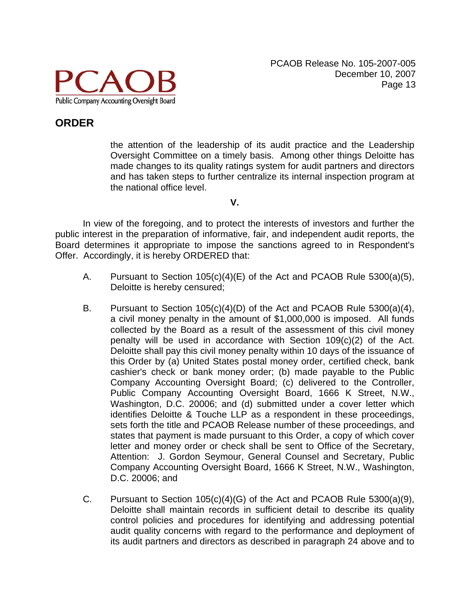

the attention of the leadership of its audit practice and the Leadership Oversight Committee on a timely basis. Among other things Deloitte has made changes to its quality ratings system for audit partners and directors and has taken steps to further centralize its internal inspection program at the national office level.

**V.** 

 In view of the foregoing, and to protect the interests of investors and further the public interest in the preparation of informative, fair, and independent audit reports, the Board determines it appropriate to impose the sanctions agreed to in Respondent's Offer. Accordingly, it is hereby ORDERED that:

- A. Pursuant to Section 105(c)(4)(E) of the Act and PCAOB Rule 5300(a)(5), Deloitte is hereby censured;
- B. Pursuant to Section 105(c)(4)(D) of the Act and PCAOB Rule 5300(a)(4), a civil money penalty in the amount of \$1,000,000 is imposed. All funds collected by the Board as a result of the assessment of this civil money penalty will be used in accordance with Section 109(c)(2) of the Act. Deloitte shall pay this civil money penalty within 10 days of the issuance of this Order by (a) United States postal money order, certified check, bank cashier's check or bank money order; (b) made payable to the Public Company Accounting Oversight Board; (c) delivered to the Controller, Public Company Accounting Oversight Board, 1666 K Street, N.W., Washington, D.C. 20006; and (d) submitted under a cover letter which identifies Deloitte & Touche LLP as a respondent in these proceedings, sets forth the title and PCAOB Release number of these proceedings, and states that payment is made pursuant to this Order, a copy of which cover letter and money order or check shall be sent to Office of the Secretary, Attention: J. Gordon Seymour, General Counsel and Secretary, Public Company Accounting Oversight Board, 1666 K Street, N.W., Washington, D.C. 20006; and
- C. Pursuant to Section 105(c)(4)(G) of the Act and PCAOB Rule 5300(a)(9), Deloitte shall maintain records in sufficient detail to describe its quality control policies and procedures for identifying and addressing potential audit quality concerns with regard to the performance and deployment of its audit partners and directors as described in paragraph 24 above and to